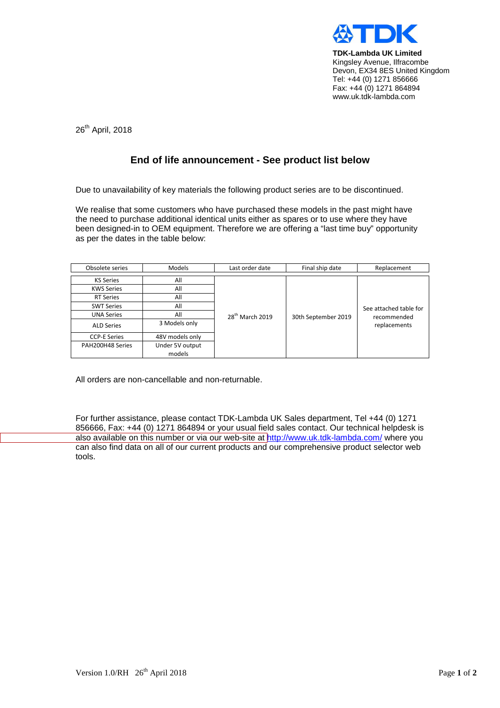

**TDK-Lambda UK Limited** Kingsley Avenue, Ilfracombe Devon, EX34 8ES United Kingdom Tel: +44 (0) 1271 856666 Fax: +44 (0) 1271 864894 www.uk.tdk-lambda.com

26<sup>th</sup> April, 2018

## **End of life announcement - See product list below**

Due to unavailability of key materials the following product series are to be discontinued.

We realise that some customers who have purchased these models in the past might have the need to purchase additional identical units either as spares or to use where they have been designed-in to OEM equipment. Therefore we are offering a "last time buy" opportunity as per the dates in the table below:

| Obsolete series     | <b>Models</b>   | Last order date             | Final ship date     | Replacement                                           |
|---------------------|-----------------|-----------------------------|---------------------|-------------------------------------------------------|
| <b>KS Series</b>    | All             |                             |                     |                                                       |
| <b>KWS Series</b>   | All             | 28 <sup>th</sup> March 2019 | 30th September 2019 | See attached table for<br>recommended<br>replacements |
| <b>RT Series</b>    | All             |                             |                     |                                                       |
| <b>SWT Series</b>   | All             |                             |                     |                                                       |
| <b>UNA Series</b>   | All             |                             |                     |                                                       |
| <b>ALD Series</b>   | 3 Models only   |                             |                     |                                                       |
| <b>CCP-E Series</b> | 48V models only |                             |                     |                                                       |
| PAH200H48 Series    | Under 5V output |                             |                     |                                                       |
|                     | models          |                             |                     |                                                       |

All orders are non-cancellable and non-returnable.

For further assistance, please contact TDK-Lambda UK Sales department, Tel +44 (0) 1271 856666, Fax: +44 (0) 1271 864894 or your usual field sales contact. Our technical helpdesk is [also available on this number or via our web-site at h](http://www.uk.tdk-lambda.com/)ttp://www.uk.tdk-lambda.com/ where you can also find data on all of our current products and our comprehensive product selector web tools.